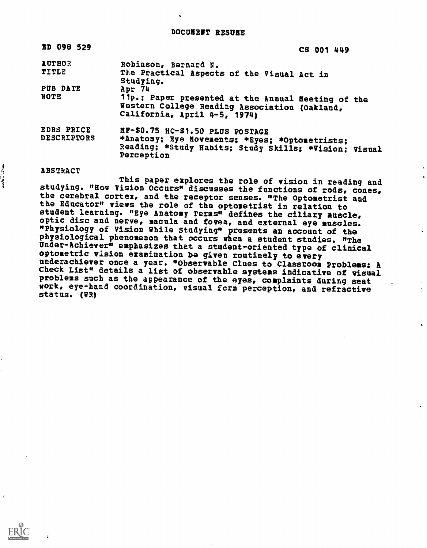| ED 098 529                       |                                                                                                                                                           | CS 001 449 |
|----------------------------------|-----------------------------------------------------------------------------------------------------------------------------------------------------------|------------|
| <b>AUTHOR</b><br>TITLE           | Robinson, Bernard N.<br>The Practical Aspects of the Visual Act in<br>Studying.                                                                           |            |
| PUB DATE<br>NOTE                 | Apr 74<br>11p.: Paper presented at the Annual Neeting of the<br>Western College Reading Association (Oakland,<br>California, April 4-5, 1974)             |            |
| EDRS PRICE<br><b>DESCRIPTORS</b> | HP-\$0.75 HC-\$1.50 PLUS POSTAGE<br>*Anatomy; Eye Movements; *Eyes: *Optometrists;<br>Reading: *Study Habits: Study Skills: *Vision: Visual<br>Perception |            |

 $\frac{d}{dt}$ 

ر علمی

ABSTRACT This paper explores the role of vision in reading and studying. "How Vision Occurs" discusses the functions of rods, cones,<br>the cerebral cortex, and the receptor senses. "The Optometrist and the Educator" views the role of the optometrist in relation to<br>student learning. "Eye Anatomy Terms" defines the ciliary muscle, optic disc and nerve, macula and fovea, and external eye muscles. "Physiology of Vision While Studying" presents an account of the physiological phenomenon that occurs when a student studies. "The Under-Achiever" emphasizes that a student-oriented type of clinical optometric vision examination be given routinely to every underachiever once a year. "Observable Clues to Classroom Problems: A Check List" details a list of observable systems indicative of visual problems such as the appearance of the eyes, complaints during seat work, eye-hand coordination, visual form perception, and refractive status. (WR)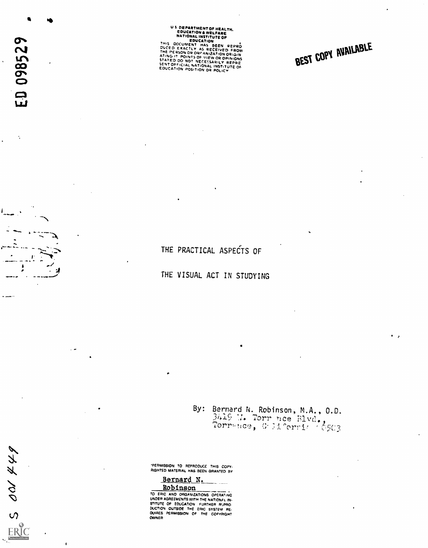US DEPARTMENT OF HEALTH.<br>
EDUCATION A WELFARE<br>
NATIONAL INSTITUTE OF<br>
EDUCATION<br>
THIS DOCUMENT HAS BEEN REPRO<br>
DUCED FROM THE PERSON AS RECEIVED FROM

THE PERSON OR ORGANIZATION ORIGIN<br>ATING IT POINTS OF VIEW OR OPINIONS<br>STATED DO NOT NECESSIONS STATED DO NOT NECESSARILY REPRE<br>SENT OFFICIAL NATIONAL INSTITUTE OF<br>EDUCATION POSITION OR POLICY

BEST COPY AVAILABLE

THE PRACTICAL ASPECTS OF

THE VISUAL ACT IN STUDYING

By: Bernard N. Robinson, M.A., O.D.  $2^{n+1}$  . Torr nce  $\text{B1vd.}$ nce, Grid

"PERMISSION TO REPRODUCE THIS coRv RIGHTED MATERIAL HAS BEEN GRANTED By

Bernard N.<br>Robinson

**ROBINSON**<br>TO ERIC AND ORGANIZATIONS OPERATING UNDER AGREEMENTS WITH THE NATIONAL IN:<br>STITUTE OF EDUCATION FURTHER REPRO RUCTION OUTSIDE THE ERIC SYSTEM RE-MAPES PERMISSION OF THE COPYRIGHT OWNER

 $\ddot{\cdot}$ 

I

 $\epsilon$  $\lambda$  :  $\lambda$  :  $\lambda$ 

 $500444$ 

ERIC

 $\bullet$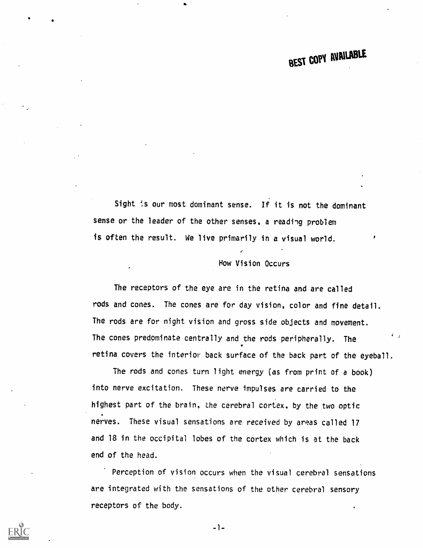# BEST COPY AVAILABLE

Sight 's our most dominant sense. If it is not the dominant sense or the leader of the other senses, a reading problem is often the result. We live primarily in a visual world.

#### Now Vision Occurs

The receptors of the eye are in the retina and are called rods and cones. The cones are for day vision, color and fine detail. The rods are for night vision and gross side objects and movement. The cones predominate centrally and the rods peripherally. The retina covers the interior back surface of the back part of the eyeball.

The rods and cones turn light energy (as from print of a book) into nerve excitation. These nerve impulses are carried to the highest part of the brain, the cerebral cortex, by the two optic nerves. These visual sensations are received by areas called 17 and 18 in the occipital lobes of the cortex which is at the back end of the head.

Perception of vision occurs when the visual cerebral sensations are integrated with the sensations of the other cerebral sensory receptors of the body.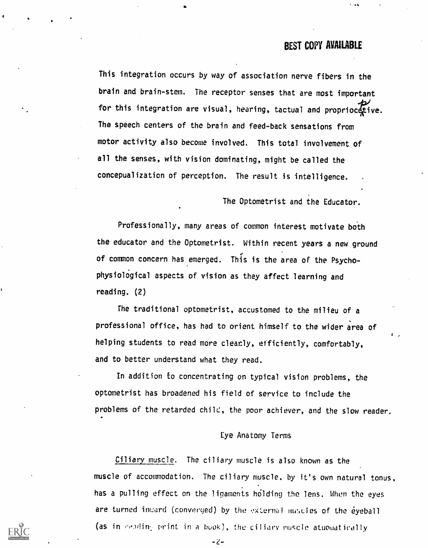### BEST COPY AVAILABLE

This integration occurs by way of association nerve fibers in the brain and brain-stem. The receptor senses that are most important for this integration are visual, hearing, tactual and propriocetive. The speech centers of the brain and feed-back sensations from motor activity also become involved. This total involvement of all the senses, with vision dominating, might be called the concepualization of perception. The result is intelligence.

The Optometrist and the Educator.

Professionally, many areas of common interest motivate both the educator and the Optometrist. Within recent years a new ground of common concern has emerged. This is the area of the Psychophysiological aspects of vision as they affect learning and reading. (2)

The traditional optometrist, accustomed to the milieu of a professional office, has had to orient himself to the wider area of helping students to read more clearly, efficiently, comfortably, and to better understand what they read.

In addition to concentrating on typical vision problems, the optometrist has broadened his field of service to include the problems of the retarded child, the poor achiever, and the slow reader.

#### Eye Anatomy Terms

Ciliary muscle. The ciliary muscle is also known as the muscle of accommodation. The ciliary muscle, by it's own natural tonus, has a pulling effect on the ligaments holding the lens. When the eyes are turned inward (converged) by the external muscles of the eyeball (as in reading print in a book), the ciliary nuscle atuomatically

 $-2 -$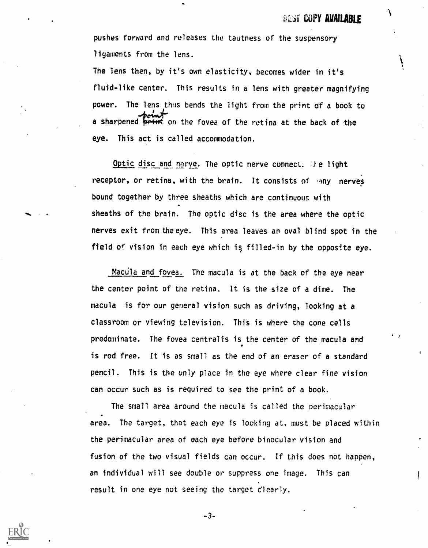pushes forward and releases the tautness of the suspensory ligaments from the lens.

The lens then, by it's own elasticity, becomes wider in it's fluid-like center. This results in a lens with greater magnifying power. The lens thus bends the light from the print of a book to a sharpened print on the fovea of the retina at the back of the eye. This act is called accomodation.

Optic disc and nerve. The optic nerve connect. The light receptor, or retina, with the brain. It consists of many nerves bound together by three sheaths which are continuous with sheaths of the brain. The optic disc is the area where the optic nerves exit from the eye. This area leaves an oval blind spot in the field of vision in each eye which is filled-in by the opposite eye.

Macula and fovea. The macula is at the back of the eye near the center point of the retina. It is the size of a dime. The macula is for our general vision such as driving, looking at a classroom or viewing television. This is where the cone cells predominate. The fovea centralis is the center of the macula and is rod free. It is as small as the end of an eraser of a standard pencil. This is the only place in the eye where clear fine vision can occur such as is required to see the print of a book.

The small area around the macula is called the nerimacular area. The target, that each eye is looking at, must be placed within the perimacular area of each eye before binocular vision and fusion of the two visual fields can occur. If this does not happen, an individual will see double or suppress one image. This can result in one eye not seeing the target clearly.

-3-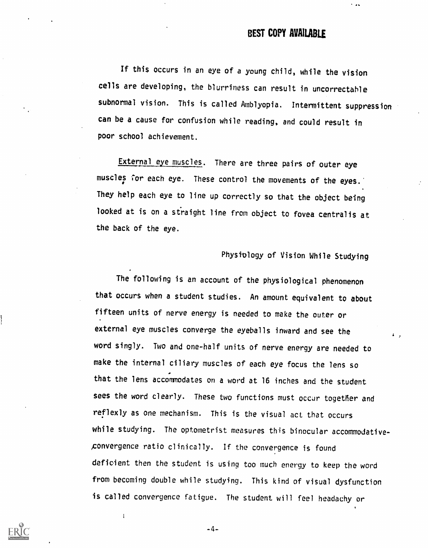$\sim$  as

If this occurs in an eye of a young child, while the vision cells are developing, the blurriness can result in uncorrectable subnormal vision. This is called Amblyopia. Intermittent suppression can be a cause for confusion while reading, and could result in poor school achievement.

External eye muscles. There are three pairs of outer eye muscles for each eye. These control the movements of the eyes.' They help each eye to line up correctly so that the object being looked at is on a straight line from object to fovea centralis at the back of the eye.

## Physiology of Vision While Studying

The following is an account of the physiological phenomenon that occurs when a student studies. An amount equivalent to about fifteen units of nerve energy is needed to make the outer or external eye muscles converge the eyeballs inward and see the word singly. Two and one-half units of nerve energy are needed to make the internal ciliary muscles of each eye focus the lens so that the lens accommodates on a word at 16 inches and the student sees the word clearly. These two functions must occur together and reflexly as one mechanism. This is the visual act that occurs while studying. The optometrist measures this binocular accommodativeponvergence ratio clinically. If the convergence is found deficient then the student is using too much energy to keep the word from becoming double while studying. This kind of visual dysfunction is called convergence fatigue. The student will feel headachy or

 $-4-$ 

 $\overline{1}$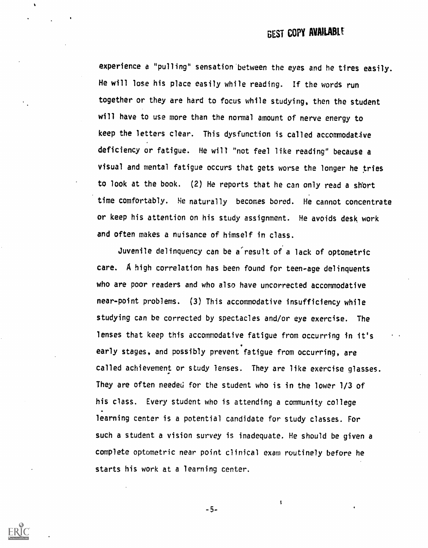experience a "pulling" sensation between the eyes and he tires easily. He will lose his place easily while reading. If the words run together or they are hard to focus while studying, then the student will have to use more than the normal amount of nerve energy to keep the letters clear. This dysfunction is called accommodative deficiency or fatigue. He will "not feel like reading" because a visual and mental fatigue occurs that gets worse the longer he tries to look at the book. (2) He reports that he can only read a short time comfortably. He naturally becomes bored. He cannot concentrate or keep his attention on his study assignment. He avoids desk work and often makes a nuisance of himself in class.

Juvenile delinquency can be a°result of a lack of optometric care. A high correlation has been found for teen-age delinquents who are poor readers and who also have uncorrected accommodative near-point problems. (3) This accommodative insufficiency while studying can be corrected by spectacles and/or eye exercise. The lenses that keep this accommodative fatigue from occurring in it's early stages, and possibly prevent fatigue from occurring, are called achievement or study lenses. They are like exercise glasses. They are often needed for the student who is in the lower 1/3 of his class. Every student who is attending a community college learning center is a potential candidate for study classes. For such a student a vision survey is inadequate. He should be given a complete optometric near point clinical exam routinely before he starts his work at a learning center.

 $-5-$ 

 $\pmb{\hat{\mathbf{y}}}$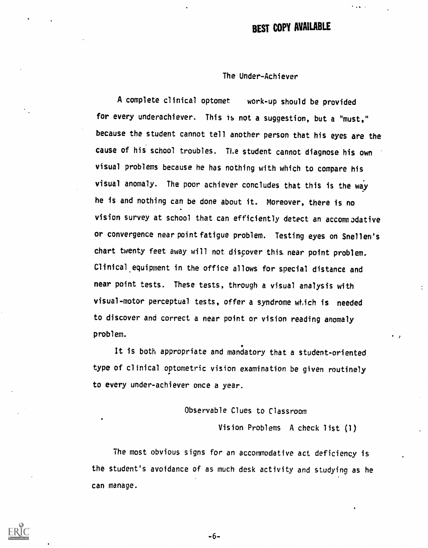## BEST COPY AVAILABLE

#### The Under-Achiever

A complete clinical optomet work-up should be provided for every underachiever. This is not a suggestion, but a "must," because the student cannot tell another person that his eyes are the cause of his school troubles. The student cannot diagnose his own visual problems because he has nothing with which to compare his visual anomaly. The poor achiever concludes that this is the way he is and nothing can be done about it. Moreover, there is no vision survey at school that can efficiently detect an accommodative or convergence near point fatigue problem. Testing eyes on Snellen's chart twenty feet away will not discover this near point problem. Clinical. equipment in the office allows for special distance and near point tests. These tests, through a visual analysis with visual-motor perceptual tests, offer a syndrome which is needed to discover and correct a near point or vision reading anomaly problem.

It is both appropriate and mandatory that a student-oriented type of clinical optometric vision examination be given routinely to every under-achiever once a year.

#### Observable Clues to Classroom

Vision Problems A check list (1)

The most obvious signs for an accommodative act deficiency is the student's avoidance of as much desk activity and studying as he can manage.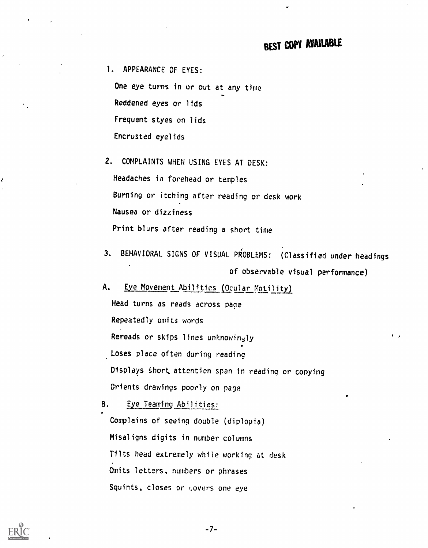1. APPEARANCE OF EYES:

One eye turns in or out at any time Reddened eyes or lids Frequent styes on lids Encrusted eyelids

2. COMPLAINTS WHEN USING EYES AT DESK: Headaches in forehead or temples Burning or itching after reading or desk work Nausea or dizziness Print blurs after reading a short time

3. BEHAVIORAL SIGNS OF VISUAL PROBLEMS: (Classified under headings of observable visual performance)

A. Eye Movement Abilities (Ocular Motility)

Head turns as reads across page Repeatedly omits words Rereads or skips lines unknowingly Loses place often during reading Displays \$hort attention span in reading or copying Orients drawings poorly on page

B. Eye Teaming Abilities: Complains of seeing double (diplopia) Misaligns digits in number columns Tilts head extremely while working at desk Omits letters, numbers or phrases Squints, closes or Lovers one eye



 $-7-$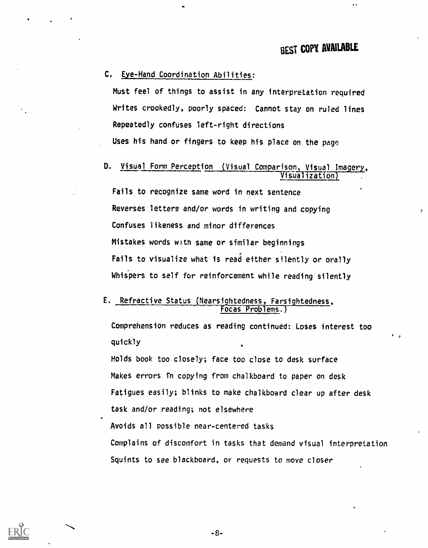#### C. Eye-Hand Coordination Abilities:

Must feel of things to assist in any interpretation required Writes crookedly, poorly spaced: Cannot stay on ruled lines Repeatedly confuses left-right directions Uses his hand or fingers to keep his place on the page

## D. Visual Form Perception (Visual Comparison, Visual Imagery, Visual Imagery,

Fails to recognize same word in next sentence Reverses letters and/or words in writing and copying Confuses likeness and minor differences Mistakes words with same or similar beginnings Fails to visualize what is read either silently or orally Whispers to self for reinforcement while reading silently

#### Refractive Status (Nearsightedness, Farsightedness, ocas Problems.

Comprehension reduces as reading continued: Loses interest too quickly

Holds book too closely; face too close to desk surface Makes errors in copying from chalkboard to paper on desk Fatigues easily; blinks to make chalkboard clear up after desk task and/or reading; not elsewhere

Avoids all possible near-centered tasks

Complains of discomfort in tasks that demand visual interpretation Squints to see blackboard, or requests to move closer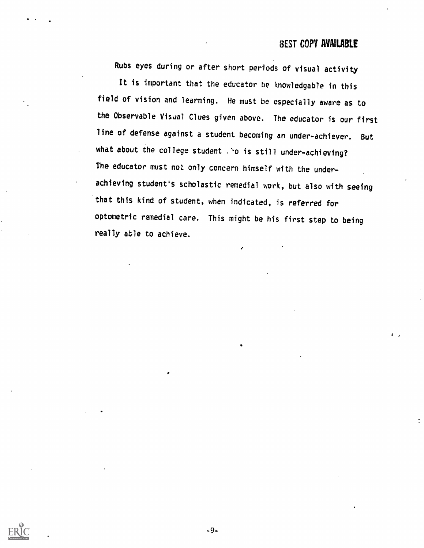Rubs eyes during or after short periods of visual activity

It is important that the educator be knowledgable in this field of vision and learning. He must be especially aware as to the Observable Visual Clues given above. The educator is our first line of defense against a student becoming an under-achiever. But what about the college student sho is still under-achieving? The educator must not only concern himself with the underachieving student's scholastic remedial work, but also with seeing that this kind of student, when indicated, is referred for optometric remedial care. This might be his first step to being really able to achieve.